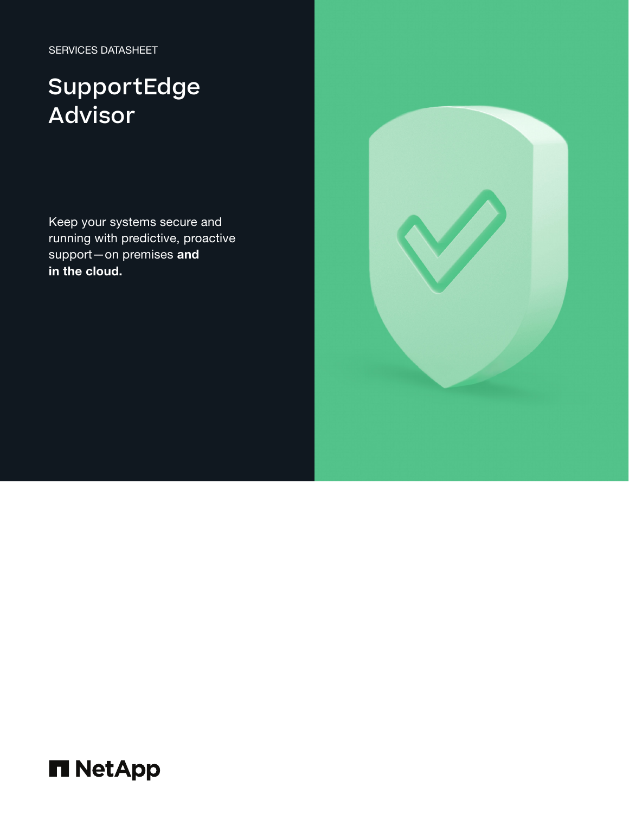SERVICES DATASHEET

# SupportEdge Advisor

Keep your systems secure and running with predictive, proactive support-on premises and in the cloud.



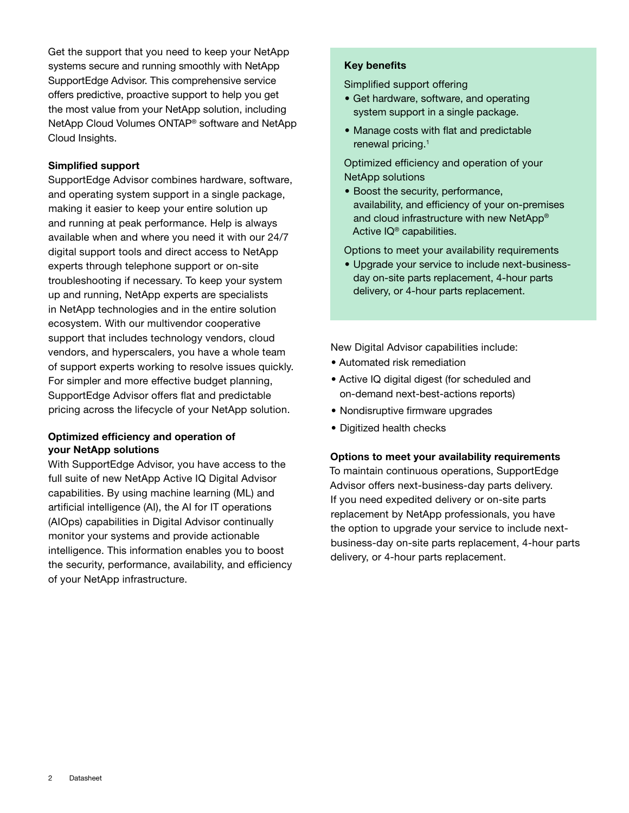Get the support that you need to keep your NetApp systems secure and running smoothly with NetApp SupportEdge Advisor. This comprehensive service offers predictive, proactive support to help you get the most value from your NetApp solution, including NetApp Cloud Volumes ONTAP® software and NetApp Cloud Insights.

## **Simplified support**

SupportEdge Advisor combines hardware, software, and operating system support in a single package, making it easier to keep your entire solution up and running at peak performance. Help is always available when and where you need it with our 24/7 digital support tools and direct access to NetApp experts through telephone support or on-site troubleshooting if necessary. To keep your system up and running, NetApp experts are specialists in NetApp technologies and in the entire solution ecosystem. With our multivendor cooperative support that includes technology vendors, cloud vendors, and hyperscalers, you have a whole team of support experts working to resolve issues quickly. For simpler and more effective budget planning, SupportEdge Advisor offers flat and predictable pricing across the lifecycle of your NetApp solution.

# **Optimized efficiency and operation of your NetApp solutions**

With SupportEdge Advisor, you have access to the full suite of new NetApp Active IQ Digital Advisor capabilities. By using machine learning (ML) and artificial intelligence (AI), the AI for IT operations (AIOps) capabilities in Digital Advisor continually monitor your systems and provide actionable intelligence. This information enables you to boost the security, performance, availability, and efficiency of your NetApp infrastructure.

## **Key benefits**

Simplified support offering

- Get hardware, software, and operating system support in a single package.
- Manage costs with flat and predictable renewal pricing.<sup>1</sup>

Optimized efficiency and operation of your NetApp solutions

• Boost the security, performance, availability, and efficiency of your on-premises and cloud infrastructure with new NetApp® Active IQ® capabilities.

Options to meet your availability requirements

• Upgrade your service to include next-businessday on-site parts replacement, 4-hour parts delivery, or 4-hour parts replacement.

New Digital Advisor capabilities include:

- Automated risk remediation
- Active IQ digital digest (for scheduled and on-demand next-best-actions reports)
- Nondisruptive firmware upgrades
- Digitized health checks

#### **Options to meet your availability requirements**

To maintain continuous operations, SupportEdge Advisor offers next-business-day parts delivery. If you need expedited delivery or on-site parts replacement by NetApp professionals, you have the option to upgrade your service to include nextbusiness-day on-site parts replacement, 4-hour parts delivery, or 4-hour parts replacement.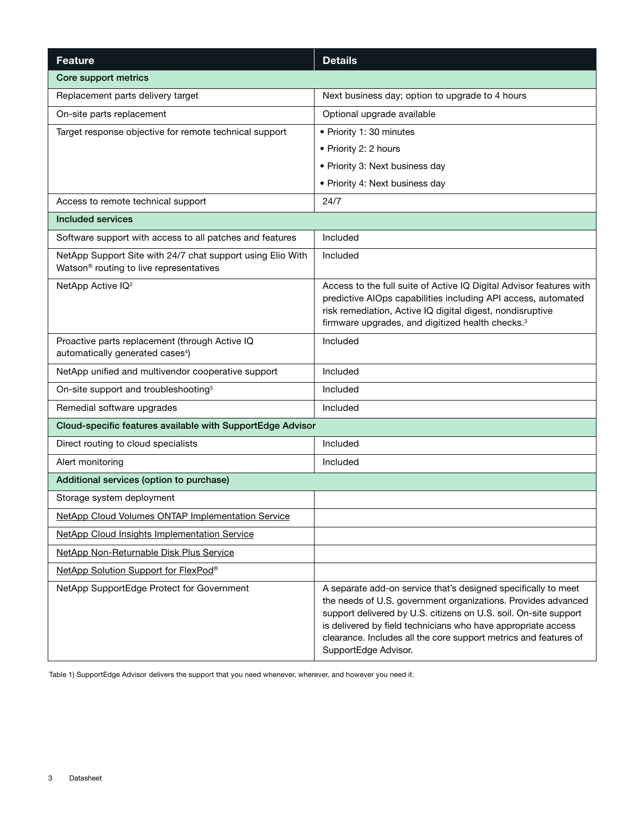| <b>Feature</b>                                                                                        | <b>Details</b>                                                                                                                                                                                                                                                                                                                                                   |
|-------------------------------------------------------------------------------------------------------|------------------------------------------------------------------------------------------------------------------------------------------------------------------------------------------------------------------------------------------------------------------------------------------------------------------------------------------------------------------|
| Core support metrics                                                                                  |                                                                                                                                                                                                                                                                                                                                                                  |
| Replacement parts delivery target                                                                     | Next business day; option to upgrade to 4 hours                                                                                                                                                                                                                                                                                                                  |
| On-site parts replacement                                                                             | Optional upgrade available                                                                                                                                                                                                                                                                                                                                       |
| Target response objective for remote technical support                                                | • Priority 1: 30 minutes                                                                                                                                                                                                                                                                                                                                         |
|                                                                                                       | • Priority 2: 2 hours                                                                                                                                                                                                                                                                                                                                            |
|                                                                                                       | • Priority 3: Next business day                                                                                                                                                                                                                                                                                                                                  |
|                                                                                                       | • Priority 4: Next business day                                                                                                                                                                                                                                                                                                                                  |
| Access to remote technical support                                                                    | 24/7                                                                                                                                                                                                                                                                                                                                                             |
| Included services                                                                                     |                                                                                                                                                                                                                                                                                                                                                                  |
| Software support with access to all patches and features                                              | Included                                                                                                                                                                                                                                                                                                                                                         |
| NetApp Support Site with 24/7 chat support using Elio With<br>Watson® routing to live representatives | Included                                                                                                                                                                                                                                                                                                                                                         |
| NetApp Active IQ <sup>2</sup>                                                                         | Access to the full suite of Active IQ Digital Advisor features with<br>predictive AIOps capabilities including API access, automated<br>risk remediation, Active IQ digital digest, nondisruptive<br>firmware upgrades, and digitized health checks. <sup>3</sup>                                                                                                |
| Proactive parts replacement (through Active IQ<br>automatically generated cases <sup>4</sup> )        | Included                                                                                                                                                                                                                                                                                                                                                         |
| NetApp unified and multivendor cooperative support                                                    | Included                                                                                                                                                                                                                                                                                                                                                         |
| On-site support and troubleshooting <sup>5</sup>                                                      | Included                                                                                                                                                                                                                                                                                                                                                         |
| Remedial software upgrades                                                                            | Included                                                                                                                                                                                                                                                                                                                                                         |
| Cloud-specific features available with SupportEdge Advisor                                            |                                                                                                                                                                                                                                                                                                                                                                  |
| Direct routing to cloud specialists                                                                   | Included                                                                                                                                                                                                                                                                                                                                                         |
| Alert monitoring                                                                                      | Included                                                                                                                                                                                                                                                                                                                                                         |
| Additional services (option to purchase)                                                              |                                                                                                                                                                                                                                                                                                                                                                  |
| Storage system deployment                                                                             |                                                                                                                                                                                                                                                                                                                                                                  |
| NetApp Cloud Volumes ONTAP Implementation Service                                                     |                                                                                                                                                                                                                                                                                                                                                                  |
| <b>NetApp Cloud Insights Implementation Service</b>                                                   |                                                                                                                                                                                                                                                                                                                                                                  |
| NetApp Non-Returnable Disk Plus Service                                                               |                                                                                                                                                                                                                                                                                                                                                                  |
| NetApp Solution Support for FlexPod®                                                                  |                                                                                                                                                                                                                                                                                                                                                                  |
| NetApp SupportEdge Protect for Government                                                             | A separate add-on service that's designed specifically to meet<br>the needs of U.S. government organizations. Provides advanced<br>support delivered by U.S. citizens on U.S. soil. On-site support<br>is delivered by field technicians who have appropriate access<br>clearance. Includes all the core support metrics and features of<br>SupportEdge Advisor. |

Table 1) SupportEdge Advisor delivers the support that you need whenever, wherever, and however you need it.